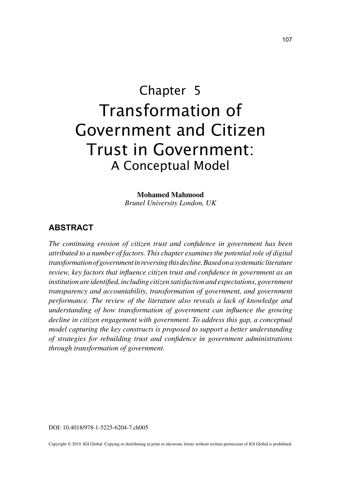# Chapter 5 Transformation of Government and Citizen Trust in Government: A Conceptual Model

**Mohamed Mahmood** *Brunel University London, UK*

# **ABSTRACT**

*The continuing erosion of citizen trust and confidence in government has been attributed to a number of factors. This chapter examines the potential role of digital transformation of government in reversing this decline. Based on a systematic literature review, key factors that influence citizen trust and confidence in government as an institution are identified, including citizen satisfaction and expectations, government transparency and accountability, transformation of government, and government performance. The review of the literature also reveals a lack of knowledge and understanding of how transformation of government can influence the growing decline in citizen engagement with government. To address this gap, a conceptual model capturing the key constructs is proposed to support a better understanding of strategies for rebuilding trust and confidence in government administrations through transformation of government.*

DOI: 10.4018/978-1-5225-6204-7.ch005

Copyright © 2019, IGI Global. Copying or distributing in print or electronic forms without written permission of IGI Global is prohibited.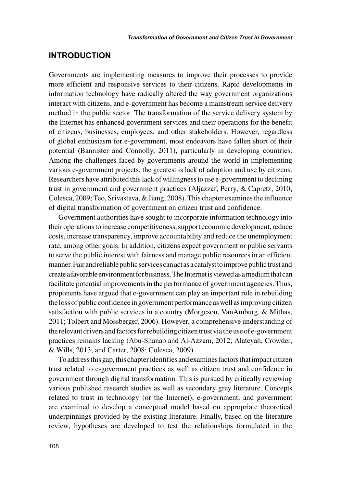# **INTRODUCTION**

Governments are implementing measures to improve their processes to provide more efficient and responsive services to their citizens. Rapid developments in information technology have radically altered the way government organizations interact with citizens, and e-government has become a mainstream service delivery method in the public sector. The transformation of the service delivery system by the Internet has enhanced government services and their operations for the benefit of citizens, businesses, employees, and other stakeholders. However, regardless of global enthusiasm for e-government, most endeavors have fallen short of their potential (Bannister and Connolly, 2011), particularly in developing countries. Among the challenges faced by governments around the world in implementing various e-government projects, the greatest is lack of adoption and use by citizens. Researchers have attributed this lack of willingness to use e-government to declining trust in government and government practices (Aljazzaf, Perry, & Capretz, 2010; Colesca, 2009; Teo, Srivastava, & Jiang, 2008). This chapter examines the influence of digital transformation of government on citizen trust and confidence.

Government authorities have sought to incorporate information technology into their operations to increase competitiveness, support economic development, reduce costs, increase transparency, improve accountability and reduce the unemployment rate, among other goals. In addition, citizens expect government or public servants to serve the public interest with fairness and manage public resources in an efficient manner. Fair and reliable public services can act as a catalyst to improve public trust and create a favorable environment for business. The Internet is viewed as a medium that can facilitate potential improvements in the performance of government agencies. Thus, proponents have argued that e-government can play an important role in rebuilding the loss of public confidence in government performance as well as improving citizen satisfaction with public services in a country (Morgeson, VanAmburg, & Mithas, 2011; Tolbert and Mossberger, 2006). However, a comprehensive understanding of the relevant drivers and factors for rebuilding citizen trust via the use of e-government practices remains lacking (Abu-Shanab and Al-Azzam, 2012; Alateyah, Crowder, & Wills, 2013; and Carter, 2008; Colesca, 2009).

To address this gap, this chapter identifies and examines factors that impact citizen trust related to e-government practices as well as citizen trust and confidence in government through digital transformation. This is pursued by critically reviewing various published research studies as well as secondary grey literature. Concepts related to trust in technology (or the Internet), e-government, and government are examined to develop a conceptual model based on appropriate theoretical underpinnings provided by the existing literature. Finally, based on the literature review, hypotheses are developed to test the relationships formulated in the